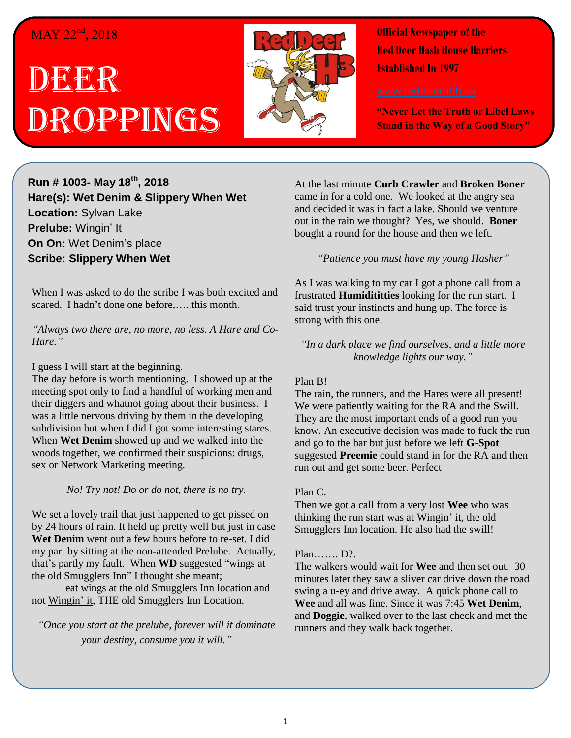## $MAY$  22<sup>nd</sup>, 2018

# DEER Droppings



**Official Newspaper of the Red Deer Hash House Harriers Established In 1997** 

**"Never Let the Truth or Libel Laws Stand in the Way of a Good Story"**

**Run # 1003- May 18th, 2018 Hare(s): Wet Denim & Slippery When Wet Location:** Sylvan Lake **Prelube:** Wingin' It **On On:** Wet Denim's place **Scribe: Slippery When Wet**

When I was asked to do the scribe I was both excited and scared. I hadn't done one before,…..this month.

*"Always two there are, no more, no less. A Hare and Co-Hare."*

#### I guess I will start at the beginning.

The day before is worth mentioning. I showed up at the meeting spot only to find a handful of working men and their diggers and whatnot going about their business. I was a little nervous driving by them in the developing subdivision but when I did I got some interesting stares. When **Wet Denim** showed up and we walked into the woods together, we confirmed their suspicions: drugs, sex or Network Marketing meeting.

#### *No! Try not! Do or do not, there is no try.*

We set a lovely trail that just happened to get pissed on by 24 hours of rain. It held up pretty well but just in case **Wet Denim** went out a few hours before to re-set. I did my part by sitting at the non-attended Prelube. Actually, that's partly my fault. When **WD** suggested "wings at the old Smugglers Inn" I thought she meant;

eat wings at the old Smugglers Inn location and not Wingin' it, THE old Smugglers Inn Location.

*"Once you start at the prelube, forever will it dominate your destiny, consume you it will."*

At the last minute **Curb Crawler** and **Broken Boner** came in for a cold one. We looked at the angry sea and decided it was in fact a lake. Should we venture out in the rain we thought? Yes, we should. **Boner** bought a round for the house and then we left.

#### *"Patience you must have my young Hasher"*

As I was walking to my car I got a phone call from a frustrated **Humidititties** looking for the run start. I said trust your instincts and hung up. The force is strong with this one.

*"In a dark place we find ourselves, and a little more knowledge lights our way."*

#### Plan B!

The rain, the runners, and the Hares were all present! We were patiently waiting for the RA and the Swill. They are the most important ends of a good run you know. An executive decision was made to fuck the run and go to the bar but just before we left **G-Spot** suggested **Preemie** could stand in for the RA and then run out and get some beer. Perfect

#### Plan C.

Then we got a call from a very lost **Wee** who was thinking the run start was at Wingin' it, the old Smugglers Inn location. He also had the swill!

#### Plan……. D?.

The walkers would wait for **Wee** and then set out. 30 minutes later they saw a sliver car drive down the road swing a u-ey and drive away. A quick phone call to **Wee** and all was fine. Since it was 7:45 **Wet Denim**, and **Doggie**, walked over to the last check and met the runners and they walk back together.